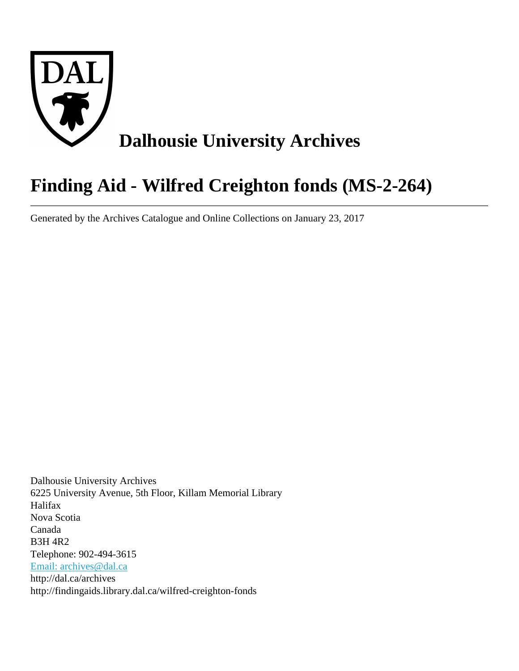

# **Finding Aid - Wilfred Creighton fonds (MS-2-264)**

Generated by the Archives Catalogue and Online Collections on January 23, 2017

Dalhousie University Archives 6225 University Avenue, 5th Floor, Killam Memorial Library Halifax Nova Scotia Canada B3H 4R2 Telephone: 902-494-3615 [Email: archives@dal.ca](mailto:Email: archives@dal.ca) http://dal.ca/archives http://findingaids.library.dal.ca/wilfred-creighton-fonds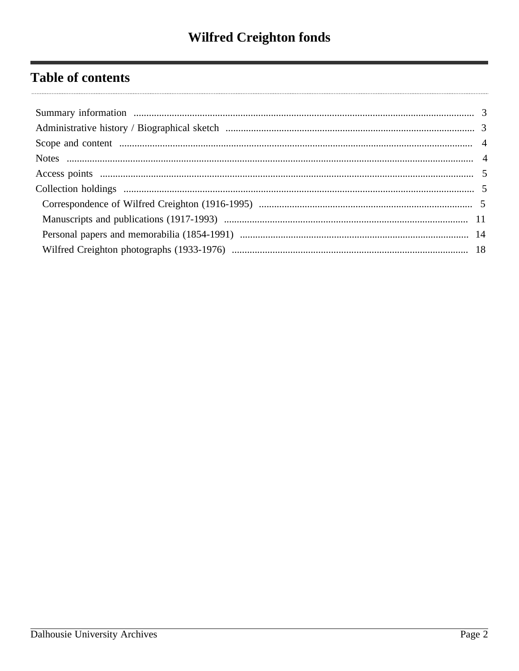## **Table of contents**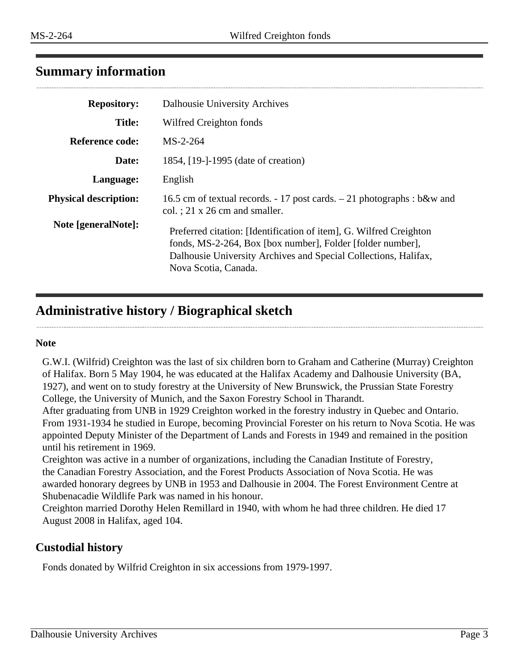## <span id="page-2-0"></span>**Summary information**

| <b>Repository:</b>           | <b>Dalhousie University Archives</b>                                                                                                                                                                                        |
|------------------------------|-----------------------------------------------------------------------------------------------------------------------------------------------------------------------------------------------------------------------------|
| <b>Title:</b>                | Wilfred Creighton fonds                                                                                                                                                                                                     |
| Reference code:              | $MS-2-264$                                                                                                                                                                                                                  |
| Date:                        | 1854, [19-]-1995 (date of creation)                                                                                                                                                                                         |
| Language:                    | English                                                                                                                                                                                                                     |
| <b>Physical description:</b> | 16.5 cm of textual records. $-17$ post cards. $-21$ photographs : b&w and<br>col. $: 21 \times 26$ cm and smaller.                                                                                                          |
| Note [generalNote]:          | Preferred citation: [Identification of item], G. Wilfred Creighton<br>fonds, MS-2-264, Box [box number], Folder [folder number],<br>Dalhousie University Archives and Special Collections, Halifax,<br>Nova Scotia, Canada. |

## <span id="page-2-1"></span>**Administrative history / Biographical sketch**

#### **Note**

G.W.I. (Wilfrid) Creighton was the last of six children born to Graham and Catherine (Murray) Creighton of Halifax. Born 5 May 1904, he was educated at the Halifax Academy and Dalhousie University (BA, 1927), and went on to study forestry at the University of New Brunswick, the Prussian State Forestry College, the University of Munich, and the Saxon Forestry School in Tharandt.

After graduating from UNB in 1929 Creighton worked in the forestry industry in Quebec and Ontario. From 1931-1934 he studied in Europe, becoming Provincial Forester on his return to Nova Scotia. He was appointed Deputy Minister of the Department of Lands and Forests in 1949 and remained in the position until his retirement in 1969.

Creighton was active in a number of organizations, including the Canadian Institute of Forestry, the Canadian Forestry Association, and the Forest Products Association of Nova Scotia. He was awarded honorary degrees by UNB in 1953 and Dalhousie in 2004. The Forest Environment Centre at Shubenacadie Wildlife Park was named in his honour.

Creighton married Dorothy Helen Remillard in 1940, with whom he had three children. He died 17 August 2008 in Halifax, aged 104.

## **Custodial history**

Fonds donated by Wilfrid Creighton in six accessions from 1979-1997.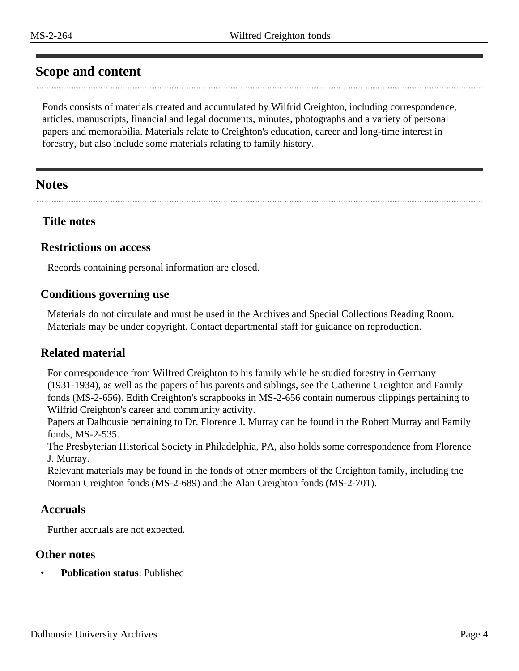## <span id="page-3-0"></span>**Scope and content**

Fonds consists of materials created and accumulated by Wilfrid Creighton, including correspondence, articles, manuscripts, financial and legal documents, minutes, photographs and a variety of personal papers and memorabilia. Materials relate to Creighton's education, career and long-time interest in forestry, but also include some materials relating to family history.

## <span id="page-3-1"></span>**Notes**

## **Title notes**

#### **Restrictions on access**

Records containing personal information are closed.

## **Conditions governing use**

Materials do not circulate and must be used in the Archives and Special Collections Reading Room. Materials may be under copyright. Contact departmental staff for guidance on reproduction.

## **Related material**

For correspondence from Wilfred Creighton to his family while he studied forestry in Germany (1931-1934), as well as the papers of his parents and siblings, see the Catherine Creighton and Family fonds (MS-2-656). Edith Creighton's scrapbooks in MS-2-656 contain numerous clippings pertaining to Wilfrid Creighton's career and community activity.

Papers at Dalhousie pertaining to Dr. Florence J. Murray can be found in the Robert Murray and Family fonds, MS-2-535.

The Presbyterian Historical Society in Philadelphia, PA, also holds some correspondence from Florence J. Murray.

Relevant materials may be found in the fonds of other members of the Creighton family, including the Norman Creighton fonds (MS-2-689) and the Alan Creighton fonds (MS-2-701).

## **Accruals**

Further accruals are not expected.

#### **Other notes**

• **Publication status**: Published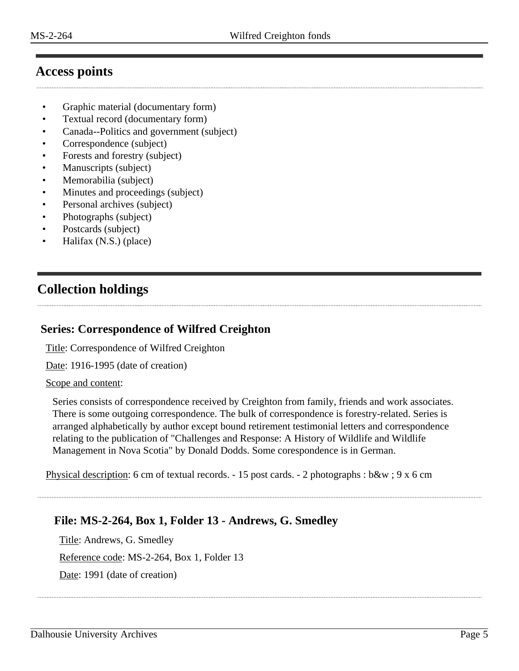## <span id="page-4-0"></span>**Access points**

- Graphic material (documentary form)
- Textual record (documentary form)
- Canada--Politics and government (subject)
- Correspondence (subject)
- Forests and forestry (subject)
- Manuscripts (subject)
- Memorabilia (subject)
- Minutes and proceedings (subject)
- Personal archives (subject)
- Photographs (subject)
- Postcards (subject)
- Halifax (N.S.) (place)

## <span id="page-4-1"></span>**Collection holdings**

#### <span id="page-4-2"></span>**Series: Correspondence of Wilfred Creighton**

Title: Correspondence of Wilfred Creighton

Date: 1916-1995 (date of creation)

#### Scope and content:

Series consists of correspondence received by Creighton from family, friends and work associates. There is some outgoing correspondence. The bulk of correspondence is forestry-related. Series is arranged alphabetically by author except bound retirement testimonial letters and correspondence relating to the publication of "Challenges and Response: A History of Wildlife and Wildlife Management in Nova Scotia" by Donald Dodds. Some corespondence is in German.

Physical description: 6 cm of textual records. - 15 post cards. - 2 photographs : b&w ; 9 x 6 cm

## **File: MS-2-264, Box 1, Folder 13 - Andrews, G. Smedley**

Title: Andrews, G. Smedley Reference code: MS-2-264, Box 1, Folder 13 Date: 1991 (date of creation)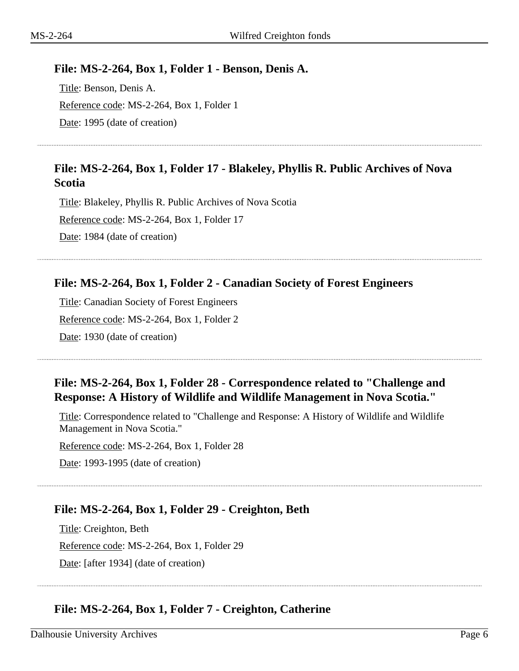#### **File: MS-2-264, Box 1, Folder 1 - Benson, Denis A.**

Title: Benson, Denis A. Reference code: MS-2-264, Box 1, Folder 1 Date: 1995 (date of creation)

## **File: MS-2-264, Box 1, Folder 17 - Blakeley, Phyllis R. Public Archives of Nova Scotia**

Title: Blakeley, Phyllis R. Public Archives of Nova Scotia Reference code: MS-2-264, Box 1, Folder 17 Date: 1984 (date of creation)

## **File: MS-2-264, Box 1, Folder 2 - Canadian Society of Forest Engineers**

Title: Canadian Society of Forest Engineers Reference code: MS-2-264, Box 1, Folder 2 Date: 1930 (date of creation)

## **File: MS-2-264, Box 1, Folder 28 - Correspondence related to "Challenge and Response: A History of Wildlife and Wildlife Management in Nova Scotia."**

Title: Correspondence related to "Challenge and Response: A History of Wildlife and Wildlife Management in Nova Scotia."

Reference code: MS-2-264, Box 1, Folder 28

Date: 1993-1995 (date of creation)

## **File: MS-2-264, Box 1, Folder 29 - Creighton, Beth**

Title: Creighton, Beth Reference code: MS-2-264, Box 1, Folder 29 Date: [after 1934] (date of creation)

## **File: MS-2-264, Box 1, Folder 7 - Creighton, Catherine**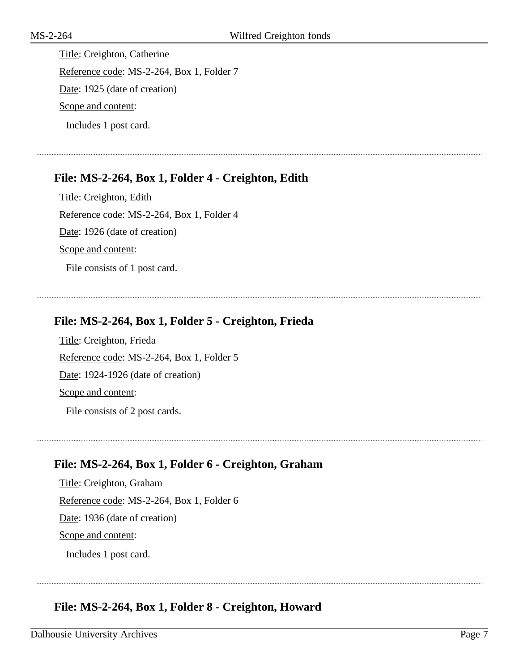Title: Creighton, Catherine Reference code: MS-2-264, Box 1, Folder 7 Date: 1925 (date of creation) Scope and content: Includes 1 post card.

## **File: MS-2-264, Box 1, Folder 4 - Creighton, Edith**

Title: Creighton, Edith Reference code: MS-2-264, Box 1, Folder 4 Date: 1926 (date of creation) Scope and content: File consists of 1 post card.

## **File: MS-2-264, Box 1, Folder 5 - Creighton, Frieda**

Title: Creighton, Frieda Reference code: MS-2-264, Box 1, Folder 5 Date: 1924-1926 (date of creation) Scope and content:

File consists of 2 post cards.

## **File: MS-2-264, Box 1, Folder 6 - Creighton, Graham**

Title: Creighton, Graham Reference code: MS-2-264, Box 1, Folder 6 Date: 1936 (date of creation) Scope and content: Includes 1 post card.

## **File: MS-2-264, Box 1, Folder 8 - Creighton, Howard**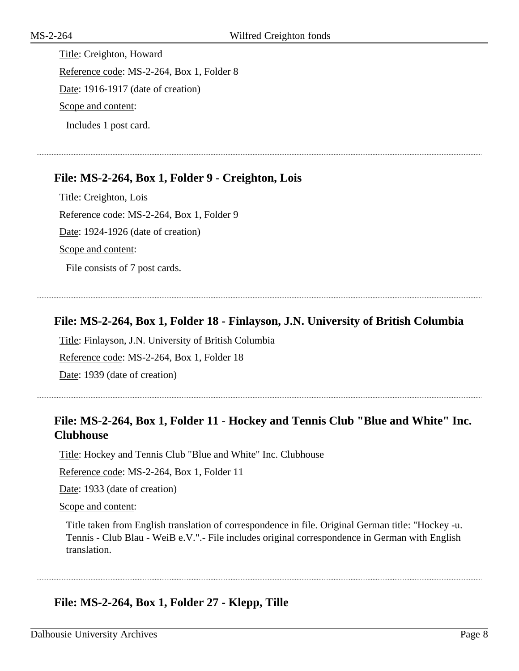Title: Creighton, Howard Reference code: MS-2-264, Box 1, Folder 8 Date: 1916-1917 (date of creation) Scope and content: Includes 1 post card.

## **File: MS-2-264, Box 1, Folder 9 - Creighton, Lois**

Title: Creighton, Lois Reference code: MS-2-264, Box 1, Folder 9 Date: 1924-1926 (date of creation) Scope and content: File consists of 7 post cards.

## **File: MS-2-264, Box 1, Folder 18 - Finlayson, J.N. University of British Columbia**

Title: Finlayson, J.N. University of British Columbia Reference code: MS-2-264, Box 1, Folder 18 Date: 1939 (date of creation)

## **File: MS-2-264, Box 1, Folder 11 - Hockey and Tennis Club "Blue and White" Inc. Clubhouse**

Title: Hockey and Tennis Club "Blue and White" Inc. Clubhouse

Reference code: MS-2-264, Box 1, Folder 11

Date: 1933 (date of creation)

Scope and content:

Title taken from English translation of correspondence in file. Original German title: "Hockey -u. Tennis - Club Blau - WeiB e.V.".- File includes original correspondence in German with English translation.

## **File: MS-2-264, Box 1, Folder 27 - Klepp, Tille**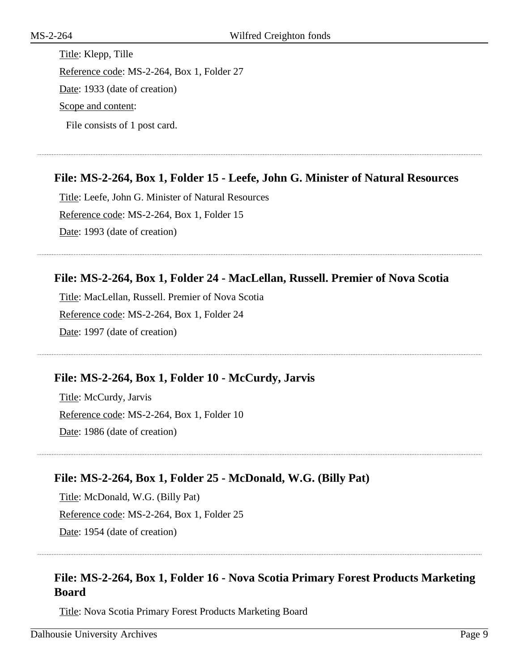Title: Klepp, Tille Reference code: MS-2-264, Box 1, Folder 27 Date: 1933 (date of creation) Scope and content: File consists of 1 post card.

## **File: MS-2-264, Box 1, Folder 15 - Leefe, John G. Minister of Natural Resources**

Title: Leefe, John G. Minister of Natural Resources Reference code: MS-2-264, Box 1, Folder 15 Date: 1993 (date of creation)

## **File: MS-2-264, Box 1, Folder 24 - MacLellan, Russell. Premier of Nova Scotia**

Title: MacLellan, Russell. Premier of Nova Scotia Reference code: MS-2-264, Box 1, Folder 24 Date: 1997 (date of creation)

#### **File: MS-2-264, Box 1, Folder 10 - McCurdy, Jarvis**

Title: McCurdy, Jarvis Reference code: MS-2-264, Box 1, Folder 10 Date: 1986 (date of creation)

## **File: MS-2-264, Box 1, Folder 25 - McDonald, W.G. (Billy Pat)**

Title: McDonald, W.G. (Billy Pat) Reference code: MS-2-264, Box 1, Folder 25 Date: 1954 (date of creation)

## **File: MS-2-264, Box 1, Folder 16 - Nova Scotia Primary Forest Products Marketing Board**

Title: Nova Scotia Primary Forest Products Marketing Board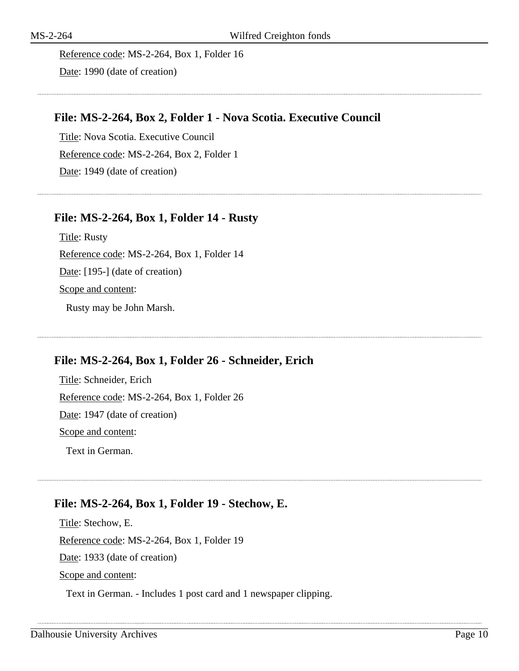Reference code: MS-2-264, Box 1, Folder 16 Date: 1990 (date of creation)

## **File: MS-2-264, Box 2, Folder 1 - Nova Scotia. Executive Council**

Title: Nova Scotia. Executive Council Reference code: MS-2-264, Box 2, Folder 1 Date: 1949 (date of creation)

## **File: MS-2-264, Box 1, Folder 14 - Rusty**

Title: Rusty Reference code: MS-2-264, Box 1, Folder 14 Date: [195-] (date of creation) Scope and content: Rusty may be John Marsh.

## **File: MS-2-264, Box 1, Folder 26 - Schneider, Erich**

Title: Schneider, Erich Reference code: MS-2-264, Box 1, Folder 26 Date: 1947 (date of creation) Scope and content: Text in German.

## **File: MS-2-264, Box 1, Folder 19 - Stechow, E.**

Title: Stechow, E. Reference code: MS-2-264, Box 1, Folder 19 Date: 1933 (date of creation) Scope and content:

Text in German. - Includes 1 post card and 1 newspaper clipping.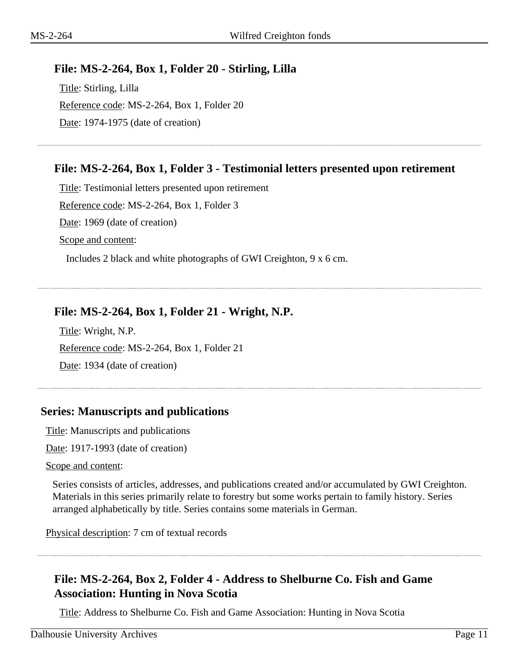## **File: MS-2-264, Box 1, Folder 20 - Stirling, Lilla**

Title: Stirling, Lilla Reference code: MS-2-264, Box 1, Folder 20 Date: 1974-1975 (date of creation)

## **File: MS-2-264, Box 1, Folder 3 - Testimonial letters presented upon retirement**

Title: Testimonial letters presented upon retirement Reference code: MS-2-264, Box 1, Folder 3 Date: 1969 (date of creation) Scope and content: Includes 2 black and white photographs of GWI Creighton, 9 x 6 cm.

**File: MS-2-264, Box 1, Folder 21 - Wright, N.P.**

Title: Wright, N.P. Reference code: MS-2-264, Box 1, Folder 21 Date: 1934 (date of creation)

## <span id="page-10-0"></span>**Series: Manuscripts and publications**

Title: Manuscripts and publications

Date: 1917-1993 (date of creation)

Scope and content:

Series consists of articles, addresses, and publications created and/or accumulated by GWI Creighton. Materials in this series primarily relate to forestry but some works pertain to family history. Series arranged alphabetically by title. Series contains some materials in German.

Physical description: 7 cm of textual records

## **File: MS-2-264, Box 2, Folder 4 - Address to Shelburne Co. Fish and Game Association: Hunting in Nova Scotia**

Title: Address to Shelburne Co. Fish and Game Association: Hunting in Nova Scotia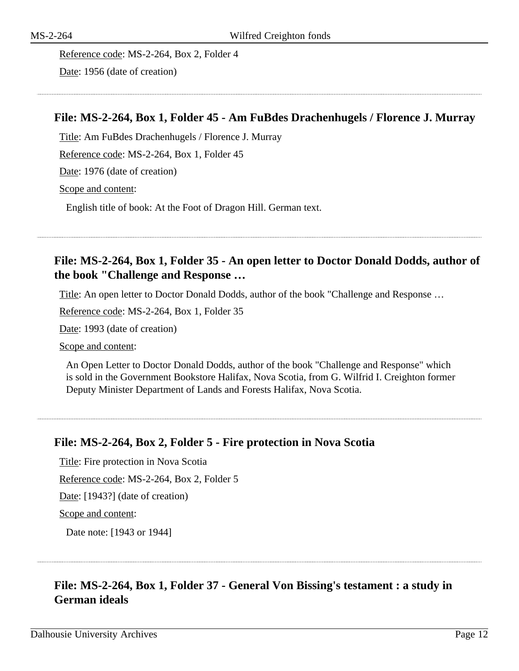Reference code: MS-2-264, Box 2, Folder 4 Date: 1956 (date of creation)

## **File: MS-2-264, Box 1, Folder 45 - Am FuBdes Drachenhugels / Florence J. Murray**

Title: Am FuBdes Drachenhugels / Florence J. Murray

Reference code: MS-2-264, Box 1, Folder 45

Date: 1976 (date of creation)

Scope and content:

English title of book: At the Foot of Dragon Hill. German text.

## **File: MS-2-264, Box 1, Folder 35 - An open letter to Doctor Donald Dodds, author of the book "Challenge and Response …**

Title: An open letter to Doctor Donald Dodds, author of the book "Challenge and Response …

Reference code: MS-2-264, Box 1, Folder 35

Date: 1993 (date of creation)

Scope and content:

An Open Letter to Doctor Donald Dodds, author of the book "Challenge and Response" which is sold in the Government Bookstore Halifax, Nova Scotia, from G. Wilfrid I. Creighton former Deputy Minister Department of Lands and Forests Halifax, Nova Scotia.

## **File: MS-2-264, Box 2, Folder 5 - Fire protection in Nova Scotia**

Title: Fire protection in Nova Scotia

Reference code: MS-2-264, Box 2, Folder 5

Date: [1943?] (date of creation)

Scope and content:

Date note: [1943 or 1944]

## **File: MS-2-264, Box 1, Folder 37 - General Von Bissing's testament : a study in German ideals**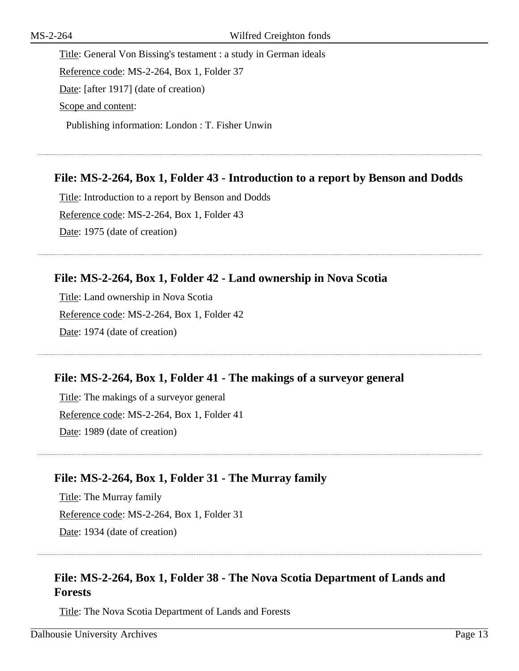Title: General Von Bissing's testament : a study in German ideals Reference code: MS-2-264, Box 1, Folder 37 Date: [after 1917] (date of creation) Scope and content: Publishing information: London : T. Fisher Unwin

## **File: MS-2-264, Box 1, Folder 43 - Introduction to a report by Benson and Dodds**

Title: Introduction to a report by Benson and Dodds Reference code: MS-2-264, Box 1, Folder 43 Date: 1975 (date of creation)

## **File: MS-2-264, Box 1, Folder 42 - Land ownership in Nova Scotia**

Title: Land ownership in Nova Scotia Reference code: MS-2-264, Box 1, Folder 42 Date: 1974 (date of creation)

## **File: MS-2-264, Box 1, Folder 41 - The makings of a surveyor general**

Title: The makings of a surveyor general Reference code: MS-2-264, Box 1, Folder 41 Date: 1989 (date of creation)

## **File: MS-2-264, Box 1, Folder 31 - The Murray family**

Title: The Murray family Reference code: MS-2-264, Box 1, Folder 31 Date: 1934 (date of creation)

## **File: MS-2-264, Box 1, Folder 38 - The Nova Scotia Department of Lands and Forests**

Title: The Nova Scotia Department of Lands and Forests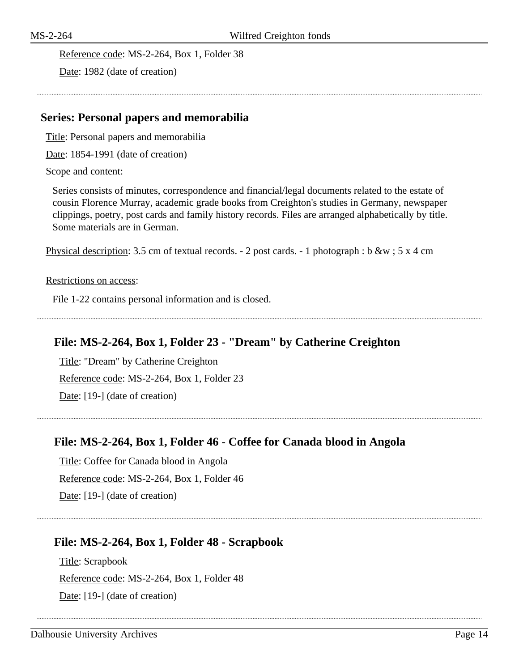Reference code: MS-2-264, Box 1, Folder 38

Date: 1982 (date of creation)

#### <span id="page-13-0"></span>**Series: Personal papers and memorabilia**

Title: Personal papers and memorabilia

Date: 1854-1991 (date of creation)

#### Scope and content:

Series consists of minutes, correspondence and financial/legal documents related to the estate of cousin Florence Murray, academic grade books from Creighton's studies in Germany, newspaper clippings, poetry, post cards and family history records. Files are arranged alphabetically by title. Some materials are in German.

Physical description: 3.5 cm of textual records. - 2 post cards. - 1 photograph : b &w ; 5 x 4 cm

#### Restrictions on access:

File 1-22 contains personal information and is closed.

## **File: MS-2-264, Box 1, Folder 23 - "Dream" by Catherine Creighton**

Title: "Dream" by Catherine Creighton Reference code: MS-2-264, Box 1, Folder 23 Date: [19-] (date of creation)

## **File: MS-2-264, Box 1, Folder 46 - Coffee for Canada blood in Angola**

Title: Coffee for Canada blood in Angola Reference code: MS-2-264, Box 1, Folder 46 Date: [19-] (date of creation)

## **File: MS-2-264, Box 1, Folder 48 - Scrapbook**

Title: Scrapbook Reference code: MS-2-264, Box 1, Folder 48 Date: [19-] (date of creation)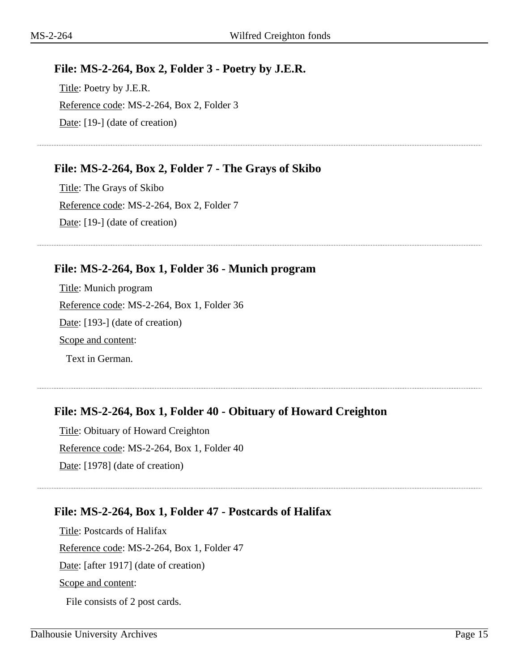## **File: MS-2-264, Box 2, Folder 3 - Poetry by J.E.R.**

Title: Poetry by J.E.R. Reference code: MS-2-264, Box 2, Folder 3 Date: [19-] (date of creation)

## **File: MS-2-264, Box 2, Folder 7 - The Grays of Skibo**

Title: The Grays of Skibo Reference code: MS-2-264, Box 2, Folder 7 Date: [19-] (date of creation)

## **File: MS-2-264, Box 1, Folder 36 - Munich program**

Title: Munich program Reference code: MS-2-264, Box 1, Folder 36 Date: [193-] (date of creation) Scope and content: Text in German.

## **File: MS-2-264, Box 1, Folder 40 - Obituary of Howard Creighton**

Title: Obituary of Howard Creighton Reference code: MS-2-264, Box 1, Folder 40 Date: [1978] (date of creation)

## **File: MS-2-264, Box 1, Folder 47 - Postcards of Halifax**

Title: Postcards of Halifax Reference code: MS-2-264, Box 1, Folder 47 Date: [after 1917] (date of creation) Scope and content:

File consists of 2 post cards.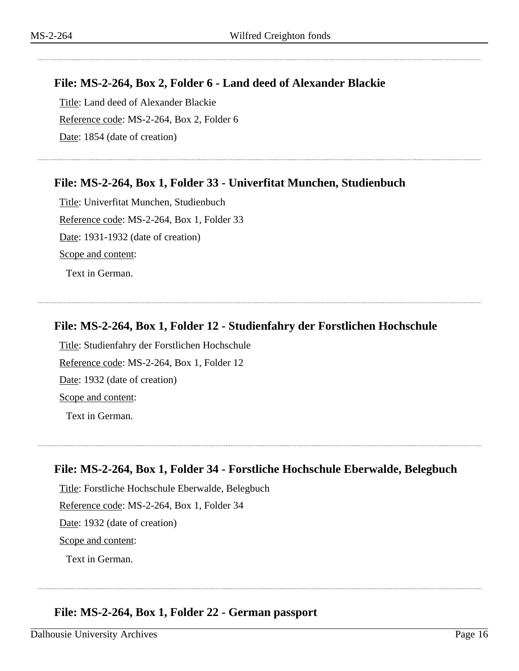## **File: MS-2-264, Box 2, Folder 6 - Land deed of Alexander Blackie**

Title: Land deed of Alexander Blackie Reference code: MS-2-264, Box 2, Folder 6 Date: 1854 (date of creation)

## **File: MS-2-264, Box 1, Folder 33 - Univerfitat Munchen, Studienbuch**

Title: Univerfitat Munchen, Studienbuch Reference code: MS-2-264, Box 1, Folder 33 Date: 1931-1932 (date of creation) Scope and content: Text in German.

**File: MS-2-264, Box 1, Folder 12 - Studienfahry der Forstlichen Hochschule**

Title: Studienfahry der Forstlichen Hochschule Reference code: MS-2-264, Box 1, Folder 12 Date: 1932 (date of creation) Scope and content:

Text in German.

## **File: MS-2-264, Box 1, Folder 34 - Forstliche Hochschule Eberwalde, Belegbuch**

Title: Forstliche Hochschule Eberwalde, Belegbuch Reference code: MS-2-264, Box 1, Folder 34 Date: 1932 (date of creation) Scope and content: Text in German.

## **File: MS-2-264, Box 1, Folder 22 - German passport**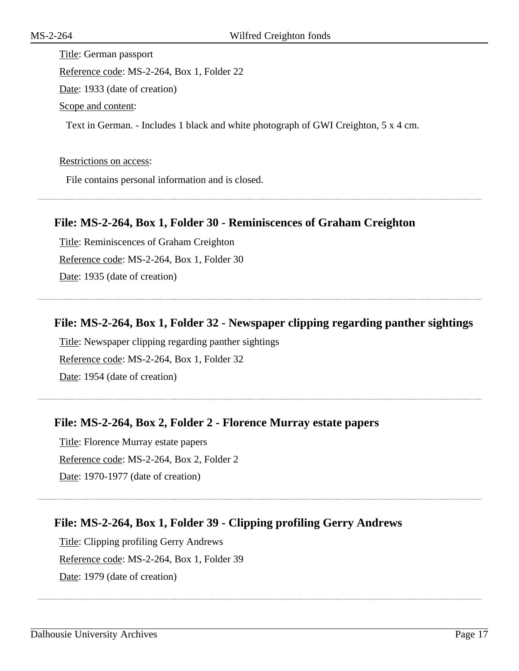Title: German passport Reference code: MS-2-264, Box 1, Folder 22 Date: 1933 (date of creation) Scope and content: Text in German. - Includes 1 black and white photograph of GWI Creighton, 5 x 4 cm.

#### Restrictions on access:

File contains personal information and is closed.

#### **File: MS-2-264, Box 1, Folder 30 - Reminiscences of Graham Creighton**

Title: Reminiscences of Graham Creighton Reference code: MS-2-264, Box 1, Folder 30 Date: 1935 (date of creation)

#### **File: MS-2-264, Box 1, Folder 32 - Newspaper clipping regarding panther sightings**

Title: Newspaper clipping regarding panther sightings Reference code: MS-2-264, Box 1, Folder 32 Date: 1954 (date of creation)

## **File: MS-2-264, Box 2, Folder 2 - Florence Murray estate papers**

Title: Florence Murray estate papers Reference code: MS-2-264, Box 2, Folder 2 Date: 1970-1977 (date of creation)

## **File: MS-2-264, Box 1, Folder 39 - Clipping profiling Gerry Andrews**

Title: Clipping profiling Gerry Andrews Reference code: MS-2-264, Box 1, Folder 39 Date: 1979 (date of creation)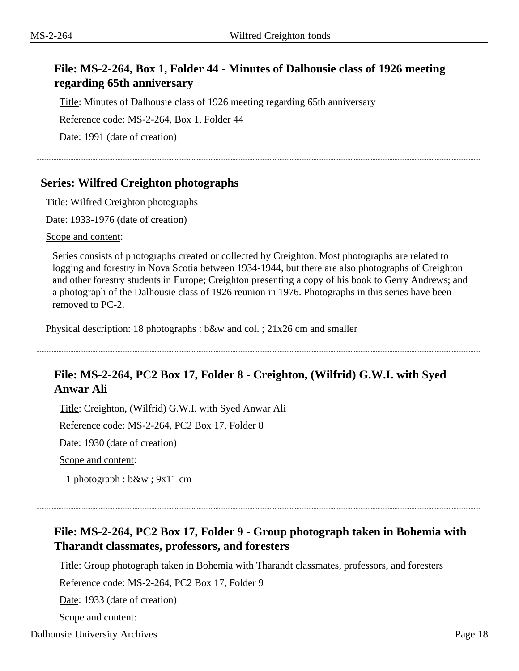## **File: MS-2-264, Box 1, Folder 44 - Minutes of Dalhousie class of 1926 meeting regarding 65th anniversary**

Title: Minutes of Dalhousie class of 1926 meeting regarding 65th anniversary

Reference code: MS-2-264, Box 1, Folder 44

Date: 1991 (date of creation)

## <span id="page-17-0"></span>**Series: Wilfred Creighton photographs**

Title: Wilfred Creighton photographs

Date: 1933-1976 (date of creation)

Scope and content:

Series consists of photographs created or collected by Creighton. Most photographs are related to logging and forestry in Nova Scotia between 1934-1944, but there are also photographs of Creighton and other forestry students in Europe; Creighton presenting a copy of his book to Gerry Andrews; and a photograph of the Dalhousie class of 1926 reunion in 1976. Photographs in this series have been removed to PC-2.

Physical description: 18 photographs : b&w and col. ; 21x26 cm and smaller

## **File: MS-2-264, PC2 Box 17, Folder 8 - Creighton, (Wilfrid) G.W.I. with Syed Anwar Ali**

Title: Creighton, (Wilfrid) G.W.I. with Syed Anwar Ali

Reference code: MS-2-264, PC2 Box 17, Folder 8

Date: 1930 (date of creation)

Scope and content:

1 photograph : b&w ; 9x11 cm

## **File: MS-2-264, PC2 Box 17, Folder 9 - Group photograph taken in Bohemia with Tharandt classmates, professors, and foresters**

Title: Group photograph taken in Bohemia with Tharandt classmates, professors, and foresters

Reference code: MS-2-264, PC2 Box 17, Folder 9

Date: 1933 (date of creation)

Scope and content: